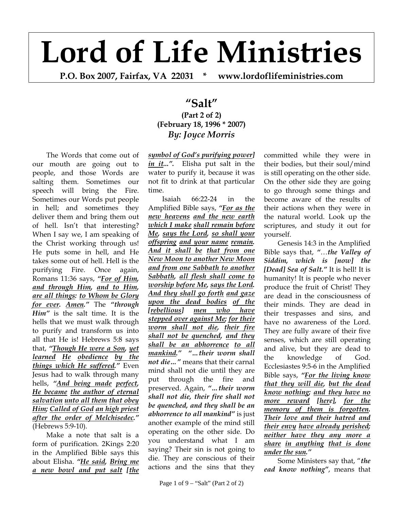## **Lord of Life Ministries**

**P.O. Box 2007, Fairfax, VA 22031 \* www.lordoflifeministries.com** 

## **"Salt" (Part 2 of 2) (February 18, 1996 \* 2007)**  *By: Joyce Morris*

The Words that come out of our mouth are going out to people, and those Words are salting them. Sometimes our speech will bring the Fire. Sometimes our Words put people in hell; and sometimes they deliver them and bring them out of hell. Isn't that interesting? When I say we, I am speaking of the Christ working through us! He puts some in hell, and He takes some out of hell. Hell is the purifying Fire. Once again, Romans 11:36 says, *"For of Him, and through Him, and to Him, are all things: to Whom be Glory for ever. Amen."* The *"through Him"* is the salt time. It is the hells that we must walk through to purify and transform us into all that He is! Hebrews 5:8 says that, *"Though He were a Son, yet learned He obedience by the things which He suffered."* Even Jesus had to walk through many hells, *"And being made perfect, He became the author of eternal salvation unto all them that obey Him; Called of God an high priest after the order of Melchisedec."* (Hebrews 5:9-10).

Make a note that salt is a form of purification. 2Kings 2:20 in the Amplified Bible says this about Elisha. *"He said, Bring me a new bowl and put salt [the* 

*symbol of God's purifying power] in it...".* Elisha put salt in the water to purify it, because it was not fit to drink at that particular time.

Isaiah 66:22-24 in the Amplified Bible says, *"For as the new heavens and the new earth which I make shall remain before Me, says the Lord, so shall your offspring and your name remain. And it shall be that from one New Moon to another New Moon and from one Sabbath to another Sabbath, all flesh shall come to worship before Me, says the Lord. And they shall go forth and gaze upon the dead bodies of the [rebellious] men who have stepped over against Me; for their worm shall not die, their fire shall not be quenched, and they shall be an abhorrence to all mankind." "…their worm shall not die…"* means that their carnal mind shall not die until they are put through the fire and preserved. Again, *"…their worm shall not die, their fire shall not be quenched, and they shall be an abhorrence to all mankind"* is just another example of the mind still operating on the other side. Do you understand what I am saying? Their sin is not going to die. They are conscious of their actions and the sins that they

committed while they were in their bodies, but their soul/mind is still operating on the other side. On the other side they are going to go through some things and become aware of the results of their actions when they were in the natural world. Look up the scriptures, and study it out for yourself.

Genesis 14:3 in the Amplified Bible says that, *"*…*the Valley of Siddim, which is [now] the [Dead] Sea of Salt."* It is hell! It is humanity! It is people who never produce the fruit of Christ! They are dead in the consciousness of their minds. They are dead in their trespasses and sins, and have no awareness of the Lord. They are fully aware of their five senses, which are still operating and alive, but they are dead to the knowledge of God. Ecclesiastes 9:5-6 in the Amplified Bible says, *"For the living know that they will die, but the dead know nothing; and they have no more reward [here], for the memory of them is forgotten. Their love and their hatred and their envy have already perished; neither have they any more a share in anything that is done under the sun."*

Some Ministers say that, "*the ead know nothing"*, means that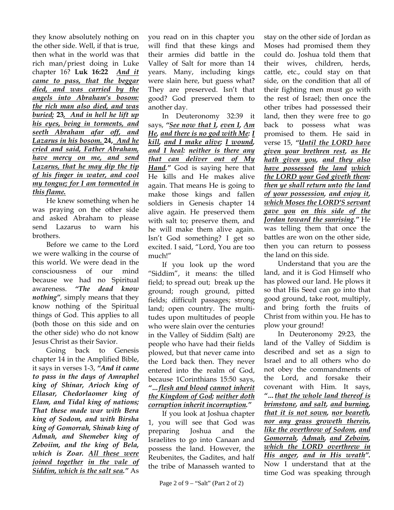they know absolutely nothing on the other side. Well, if that is true, then what in the world was that rich man/priest doing in Luke chapter 16? **Luk 16:22** *And it came to pass, that the beggar died, and was carried by the angels into Abraham's bosom: the rich man also died, and was buried;* **23***, And in hell he lift up his eyes, being in torments, and seeth Abraham afar off, and Lazarus in his bosom.* **24,** *And he cried and said, Father Abraham, have mercy on me, and send Lazarus, that he may dip the tip of his finger in water, and cool my tongue; for I am tormented in this flame.* 

He knew something when he was praying on the other side and asked Abraham to please send Lazarus to warn his brothers.

Before we came to the Lord we were walking in the course of this world. We were dead in the consciousness of our mind because we had no Spiritual awareness. *"The dead know nothing",* simply means that they know nothing of the Spiritual things of God. This applies to all (both those on this side and on the other side) who do not know Jesus Christ as their Savior.

Going back to Genesis chapter 14 in the Amplified Bible, it says in verses 1-3, *"And it came to pass in the days of Amraphel king of Shinar, Arioch king of Ellasar, Chedorlaomer king of Elam, and Tidal king of nations; That these made war with Bera king of Sodom, and with Birsha king of Gomorrah, Shinab king of Admah, and Shemeber king of Zeboiim, and the king of Bela, which is Zoar. All these were joined together in the vale of Siddim, which is the salt sea."* As

you read on in this chapter you will find that these kings and their armies did battle in the Valley of Salt for more than 14 years. Many, including kings were slain here, but guess what? They are preserved. Isn't that good? God preserved them to another day.

In Deuteronomy 32:39 it says, *"See now that I, even I, Am He, and there is no god with Me: I kill, and I make alive; I wound, and I heal: neither is there any that can deliver out of My Hand."* God is saying here that He kills and He makes alive again. That means He is going to make those kings and fallen soldiers in Genesis chapter 14 alive again. He preserved them with salt to; preserve them, and he will make them alive again. Isn't God something? I get so excited. I said, "Lord, You are too much!"

If you look up the word "Siddim", it means: the tilled field; to spread out; break up the ground; rough ground, pitted fields; difficult passages; strong land; open country. The multitudes upon multitudes of people who were slain over the centuries in the Valley of Siddim (Salt) are people who have had their fields plowed, but that never came into the Lord back then. They never entered into the realm of God, because 1Corinthians 15:50 says, *"…flesh and blood cannot inherit the Kingdom of God; neither doth corruption inherit incorruption."*

If you look at Joshua chapter 1, you will see that God was preparing Joshua and the Israelites to go into Canaan and possess the land. However, the Reubenites, the Gadites, and half the tribe of Manasseh wanted to

stay on the other side of Jordan as Moses had promised them they could do. Joshua told them that their wives, children, herds, cattle, etc., could stay on that side, on the condition that all of their fighting men must go with the rest of Israel; then once the other tribes had possessed their land, then they were free to go back to possess what was promised to them. He said in verse 15, *"Until the LORD have given your brethren rest, as He hath given you, and they also have possessed the land which the LORD your God giveth them: then ye shall return unto the land of your possession, and enjoy it, which Moses the LORD'S servant gave you on this side of the Jordan toward the sunrising."* He was telling them that once the battles are won on the other side, then you can return to possess the land on this side.

Understand that you are the land, and it is God Himself who has plowed our land. He plows it so that His Seed can go into that good ground, take root, multiply, and bring forth the fruits of Christ from within you. He has to plow your ground!

In Deuteronomy 29:23, the land of the Valley of Siddim is described and set as a sign to Israel and to all others who do not obey the commandments of the Lord, and forsake their covenant with Him. It says, *"…that the whole land thereof is brimstone, and salt, and burning, that it is not sown, nor beareth, nor any grass groweth therein, like the overthrow of Sodom, and Gomorrah, Admah, and Zeboim, which the LORD overthrew in His anger, and in His wrath".* Now I understand that at the time God was speaking through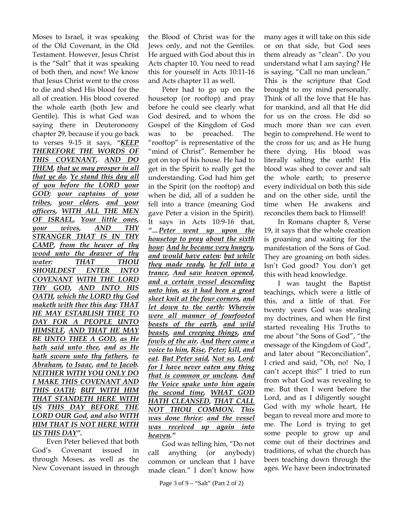Moses to Israel, it was speaking of the Old Covenant, in the Old Testament. However, Jesus Christ is the "Salt" that it was speaking of both then, and now! We know that Jesus Christ went to the cross to die and shed His blood for the all of creation. His blood covered the whole earth (both Jew and Gentile). This is what God was saying there in Deuteronomy chapter 29, because if you go back to verses 9-15 it says, *"KEEP THEREFORE THE WORDS OF THIS COVENANT, AND DO THEM, that ye may prosper in all that ye do. Ye stand this day all of you before the LORD your GOD; your captains of your tribes, your elders, and your officers, WITH ALL THE MEN OF ISRAEL, Your little ones, your wives, AND THY STRANGER THAT IS IN THY CAMP, from the hewer of thy wood unto the drawer of thy water: THAT THOU SHOULDEST ENTER INTO COVENANT WITH THE LORD THY GOD, AND INTO HIS OATH, which the LORD thy God maketh with thee this day: THAT HE MAY ESTABLISH THEE TO DAY FOR A PEOPLE UNTO HIMSELF, AND THAT HE MAY BE UNTO THEE A GOD, as He hath said unto thee, and as He hath sworn unto thy fathers, to Abraham, to Isaac, and to Jacob. NEITHER WITH YOU ONLY DO I MAKE THIS COVENANT AND THIS OATH; BUT WITH HIM THAT STANDETH HERE WITH US THIS DAY BEFORE THE LORD OUR God, and also WITH HIM THAT IS NOT HERE WITH US THIS DAY".*

Even Peter believed that both God's Covenant issued in through Moses, as well as the New Covenant issued in through the Blood of Christ was for the Jews only, and not the Gentiles. He argued with God about this in Acts chapter 10. You need to read this for yourself in Acts 10:11-16 and Acts chapter 11 as well.

Peter had to go up on the housetop (or rooftop) and pray before he could see clearly what God desired, and to whom the Gospel of the Kingdom of God was to be preached. The "rooftop" is representative of the "mind of Christ". Remember he got on top of his house. He had to get in the Spirit to really get the understanding. God had him get in the Spirit (on the rooftop) and when he did, all of a sudden he fell into a trance (meaning God gave Peter a vision in the Spirit). It says in Acts 10:9-16 that, *"…Peter went up upon the housetop to pray about the sixth hour: And he became very hungry, and would have eaten: but while they made ready, he fell into a trance, And saw heaven opened, and a certain vessel descending unto him, as it had been a great sheet knit at the four corners, and let down to the earth: Wherein were all manner of fourfooted beasts of the earth, and wild beasts, and creeping things, and fowls of the air. And there came a voice to him, Rise, Peter; kill, and eat. But Peter said, Not so, Lord; for I have never eaten any thing that is common or unclean. And the Voice spake unto him again the second time, WHAT GOD HATH CLEANSED, THAT CALL NOT THOU COMMON. This was done thrice: and the vessel was received up again into heaven."*

God was telling him, "Do not call anything (or anybody) common or unclean that I have made clean." I don't know how

many ages it will take on this side or on that side, but God sees them already as "clean". Do you understand what I am saying? He is saying, "Call no man unclean." This is the scripture that God brought to my mind personally. Think of all the love that He has for mankind, and all that He did for us on the cross. He did so much more than we can even begin to comprehend. He went to the cross for us; and as He hung there dying, His blood was literally salting the earth! His blood was shed to cover and salt the whole earth; to preserve every individual on both this side and on the other side, until the time when He awakens and reconciles them back to Himself!

In Romans chapter 8, Verse 19, it says that the whole creation is groaning and waiting for the manifestation of the Sons of God. They are groaning on both sides. Isn't God good? You don't get this with head knowledge.

I was taught the Baptist teachings, which were a little of this, and a little of that. For twenty years God was stealing my doctrines, and when He first started revealing His Truths to me about "the Sons of God", "the message of the Kingdom of God", and later about "Reconciliation", I cried and said, "Oh, no! No, I can't accept this!" I tried to run from what God was revealing to me. But then I went before the Lord, and as I diligently sought God with my whole heart, He began to reveal more and more to me. The Lord is trying to get some people to grow up and come out of their doctrines and traditions, of what the church has been teaching down through the ages. We have been indoctrinated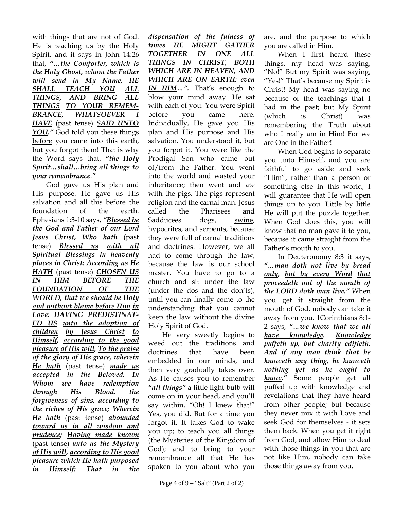with things that are not of God. He is teaching us by the Holy Spirit, and it says in John 14:26 that, *"…the Comforter, which is the Holy Ghost, whom the Father will send in My Name, HE SHALL TEACH YOU ALL THINGS, AND BRING ALL THINGS TO YOUR REMEM-BRANCE, WHATSOEVER I HAVE* (past tense) *SAID UNTO YOU."* God told you these things before you came into this earth, but you forgot them! That is why the Word says that, *"the Holy Spirit…shall…bring all things to your remembrance*.*"*

God gave us His plan and His purpose. He gave us His salvation and all this before the foundation of the earth. Ephesians 1:3-10 says, *"Blessed be the God and Father of our Lord Jesus Christ, Who hath* (past tense) *Blessed us with all Spiritual Blessings in heavenly places in Christ: According as He HATH* (past tense) *CHOSEN US IN HIM BEFORE THE FOUNDATION OF THE WORLD, that we should be Holy and without blame before Him in Love: HAVING PREDISTINAT-ED US unto the adoption of children by Jesus Christ to Himself, according to the good pleasure of His will, To the praise of the glory of His grace, wherein He hath* (past tense) *made us accepted in the Beloved. In Whom we have redemption through His Blood, the forgiveness of sins, according to the riches of His grace; Wherein He hath* (past tense) *abounded toward us in all wisdom and prudence; Having made known* (past tense) *unto us the Mystery of His will, according to His good pleasure which He hath purposed in Himself: That in the* 

*dispensation of the fulness of times HE MIGHT GATHER TOGETHER IN ONE ALL THINGS IN CHRIST, BOTH WHICH ARE IN HEAVEN, AND WHICH ARE ON EARTH; even IN HIM…".* That's enough to blow your mind away. He sat with each of you. You were Spirit before you came here. Individually, He gave you His plan and His purpose and His salvation. You understood it, but you forgot it. You were like the Prodigal Son who came out of/from the Father. You went into the world and wasted your inheritance; then went and ate with the pigs. The pigs represent religion and the carnal man. Jesus called the Pharisees and Sadducees dogs, swine, hypocrites, and serpents, because they were full of carnal traditions and doctrines. However, we all had to come through the law, because the law is our school master. You have to go to a church and sit under the law (under the dos and the don'ts), until you can finally come to the understanding that you cannot keep the law without the divine Holy Spirit of God.

He very sweetly begins to weed out the traditions and doctrines that have been embedded in our minds, and then very gradually takes over. As He causes you to remember *"all things"* a little light bulb will come on in your head, and you'll say within, "Oh! I knew that!" Yes, you did. But for a time you forgot it. It takes God to wake you up; to teach you all things (the Mysteries of the Kingdom of God); and to bring to your remembrance all that He has spoken to you about who you

are, and the purpose to which you are called in Him.

When I first heard these things, my head was saying, "No!" But my Spirit was saying, "Yes!" That's because my Spirit is Christ! My head was saying no because of the teachings that I had in the past; but My Spirit (which is Christ) was remembering the Truth about who I really am in Him! For we are One in the Father!

When God begins to separate you unto Himself, and you are faithful to go aside and seek "Him", rather than a person or something else in this world, I will guarantee that He will open things up to you. Little by little He will put the puzzle together. When God does this, you will know that no man gave it to you, because it came straight from the Father's mouth to you.

In Deuteronomy 8:3 it says, *"…man doth not live by bread only, but by every Word that proceedeth out of the mouth of the LORD doth man live."* When you get it straight from the mouth of God, nobody can take it away from you. 1Corinthians 8:1- 2 says, *"…we know that we all have knowledge. Knowledge puffeth up, but charity edifieth. And if any man think that he knoweth any thing, he knoweth nothing yet as he ought to know."* Some people get all puffed up with knowledge and revelations that they have heard from other people; but because they never mix it with Love and seek God for themselves - it sets them back. When you get it right from God, and allow Him to deal with those things in you that are not like Him, nobody can take those things away from you.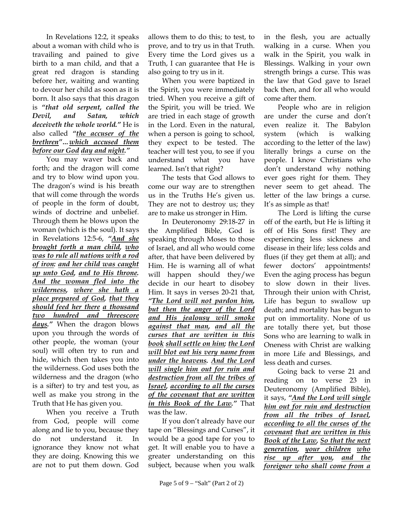In Revelations 12:2, it speaks about a woman with child who is travailing and pained to give birth to a man child, and that a great red dragon is standing before her, waiting and wanting to devour her child as soon as it is born. It also says that this dragon is *"that old serpent, called the Devil, and Satan, which deceiveth the whole world."* He is also called *"the accuser of the brethren"…which accused them before our God day and night."*

You may waver back and forth; and the dragon will come and try to blow wind upon you. The dragon's wind is his breath that will come through the words of people in the form of doubt, winds of doctrine and unbelief. Through them he blows upon the woman (which is the soul). It says in Revelations 12:5-6, *"And she brought forth a man child, who was to rule all nations with a rod of iron: and her child was caught up unto God, and to His throne. And the woman fled into the wilderness, where she hath a place prepared of God, that they should feed her there a thousand two hundred and threescore days."* When the dragon blows upon you through the words of other people, the woman (your soul) will often try to run and hide, which then takes you into the wilderness. God uses both the wilderness and the dragon (who is a sifter) to try and test you, as well as make you strong in the Truth that He has given you.

When you receive a Truth from God, people will come along and lie to you, because they do not understand it. In ignorance they know not what they are doing. Knowing this we are not to put them down. God allows them to do this; to test, to prove, and to try us in that Truth. Every time the Lord gives us a Truth, I can guarantee that He is also going to try us in it.

When you were baptized in the Spirit, you were immediately tried. When you receive a gift of the Spirit, you will be tried. We are tried in each stage of growth in the Lord. Even in the natural, when a person is going to school, they expect to be tested. The teacher will test you, to see if you understand what you have learned. Isn't that right?

The tests that God allows to come our way are to strengthen us in the Truths He's given us. They are not to destroy us; they are to make us stronger in Him.

In Deuteronomy 29:18-27 in the Amplified Bible, God is speaking through Moses to those of Israel, and all who would come after, that have been delivered by Him. He is warning all of what will happen should they/we decide in our heart to disobey Him. It says in verses 20-21 that, *"The Lord will not pardon him, but then the anger of the Lord and His jealousy will smoke against that man, and all the curses that are written in this book shall settle on him; the Lord will blot out his very name from under the heavens. And the Lord will single him out for ruin and destruction from all the tribes of Israel, according to all the curses of the covenant that are written in this Book of the Law."* That was the law.

If you don't already have our tape on "Blessings and Curses", it would be a good tape for you to get. It will enable you to have a greater understanding on this subject, because when you walk

in the flesh, you are actually walking in a curse. When you walk in the Spirit, you walk in Blessings. Walking in your own strength brings a curse. This was the law that God gave to Israel back then, and for all who would come after them.

People who are in religion are under the curse and don't even realize it. The Babylon system (which is walking according to the letter of the law) literally brings a curse on the people. I know Christians who don't understand why nothing ever goes right for them. They never seem to get ahead. The letter of the law brings a curse. It's as simple as that!

The Lord is lifting the curse off of the earth, but He is lifting it off of His Sons first! They are experiencing less sickness and disease in their life; less colds and flues (if they get them at all); and fewer doctors' appointments! Even the aging process has begun to slow down in their lives. Through their union with Christ, Life has begun to swallow up death; and mortality has begun to put on immortality. None of us are totally there yet, but those Sons who are learning to walk in Oneness with Christ are walking in more Life and Blessings, and less death and curses.

Going back to verse 21 and reading on to verse 23 in Deuteronomy (Amplified Bible), it says, *"And the Lord will single him out for ruin and destruction from all the tribes of Israel, according to all the curses of the covenant that are written in this Book of the Law, So that the next generation, your children who rise up after you, and the foreigner who shall come from a*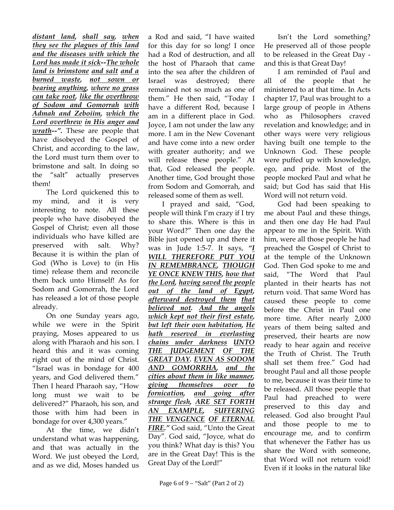*distant land, shall say, when they see the plagues of this land and the diseases with which the Lord has made it sick--The whole land is brimstone and salt and a burned waste, not sown or bearing anything, where no grass can take root, like the overthrow of Sodom and Gomorrah with Admah and Zeboiim, which the Lord overthrew in His anger and wrath--".* These are people that have disobeyed the Gospel of Christ, and according to the law, the Lord must turn them over to brimstone and salt. In doing so the "salt" actually preserves them!

The Lord quickened this to my mind, and it is very interesting to note. All these people who have disobeyed the Gospel of Christ; even all those individuals who have killed are preserved with salt. Why? Because it is within the plan of God (Who is Love) to (in His time) release them and reconcile them back unto Himself! As for Sodom and Gomorrah, the Lord has released a lot of those people already.

On one Sunday years ago, while we were in the Spirit praying, Moses appeared to us along with Pharaoh and his son. I heard this and it was coming right out of the mind of Christ. "Israel was in bondage for 400 years, and God delivered them." Then I heard Pharaoh say, "How long must we wait to be delivered?" Pharaoh, his son, and those with him had been in bondage for over 4,300 years."

At the time, we didn't understand what was happening, and that was actually in the Word. We just obeyed the Lord, and as we did, Moses handed us a Rod and said, "I have waited for this day for so long! I once had a Rod of destruction, and all the host of Pharaoh that came into the sea after the children of Israel was destroyed; there remained not so much as one of them." He then said, "Today I have a different Rod, because I am in a different place in God. Joyce, I am not under the law any more. I am in the New Covenant and have come into a new order with greater authority; and we will release these people." At that, God released the people. Another time, God brought those from Sodom and Gomorrah, and released some of them as well.

I prayed and said, "God, people will think I'm crazy if I try to share this. Where is this in your Word?" Then one day the Bible just opened up and there it was in Jude 1:5-7. It says, *"I WILL THEREFORE PUT YOU IN REMEMBRANCE, THOUGH YE ONCE KNEW THIS, how that the Lord, having saved the people out of the land of Egypt, afterward destroyed them that believed not. And the angels which kept not their first estate, but left their own habitation, He hath reserved in everlasting chains under darkness UNTO THE JUDGEMENT OF THE GREAT DAY. EVEN AS SODOM AND GOMORRHA, and the cities about them in like manner, giving themselves over to fornication, and going after strange flesh, ARE SET FORTH AN EXAMPLE, SUFFERING THE VENGENCE OF ETERNAL FIRE."* God said, "Unto the Great Day". God said, "Joyce, what do you think? What day is this? You are in the Great Day! This is the Great Day of the Lord!"

Isn't the Lord something? He preserved all of those people to be released in the Great Day and this is that Great Day!

I am reminded of Paul and all of the people that he ministered to at that time. In Acts chapter 17, Paul was brought to a large group of people in Athens who as Philosophers craved revelation and knowledge; and in other ways were very religious having built one temple to the Unknown God. These people were puffed up with knowledge, ego, and pride. Most of the people mocked Paul and what he said; but God has said that His Word will not return void.

God had been speaking to me about Paul and these things, and then one day He had Paul appear to me in the Spirit. With him, were all those people he had preached the Gospel of Christ to at the temple of the Unknown God. Then God spoke to me and said, "The Word that Paul planted in their hearts has not return void. That same Word has caused these people to come before the Christ in Paul one more time. After nearly 2,000 years of them being salted and preserved, their hearts are now ready to hear again and receive the Truth of Christ. The Truth shall set them free." God had brought Paul and all those people to me, because it was their time to be released. All those people that Paul had preached to were preserved to this day and released. God also brought Paul and those people to me to encourage me, and to confirm that whenever the Father has us share the Word with someone, that Word will not return void! Even if it looks in the natural like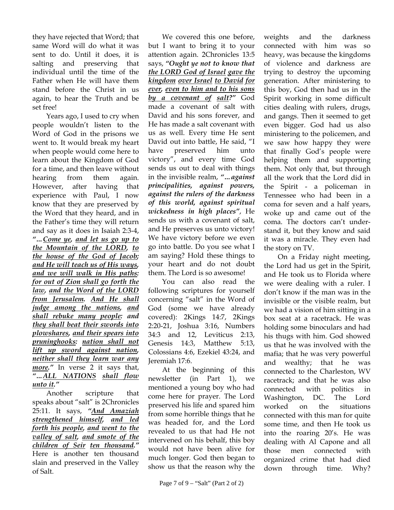they have rejected that Word; that same Word will do what it was sent to do. Until it does, it is salting and preserving that individual until the time of the Father when He will have them stand before the Christ in us again, to hear the Truth and be set free!

Years ago, I used to cry when people wouldn't listen to the Word of God in the prisons we went to. It would break my heart when people would come here to learn about the Kingdom of God for a time, and then leave without hearing from them again. However, after having that experience with Paul, I now know that they are preserved by the Word that they heard, and in the Father's time they will return and say as it does in Isaiah 2:3-4, *"…Come ye, and let us go up to the Mountain of the LORD, to the house of the God of Jacob; and He will teach us of His ways, and we will walk in His paths: for out of Zion shall go forth the law, and the Word of the LORD from Jerusalem. And He shall judge among the nations, and shall rebuke many people: and they shall beat their swords into plowshares, and their spears into pruninghooks: nation shall not lift up sword against nation, neither shall they learn war any more."* In verse 2 it says that, *"…ALL NATIONS shall flow unto it."*

Another scripture that speaks about "salt" is 2Chronicles 25:11. It says, *"And Amaziah strengthened himself, and led forth his people, and went to the valley of salt, and smote of the children of Seir ten thousand."* Here is another ten thousand slain and preserved in the Valley of Salt.

We covered this one before, but I want to bring it to your attention again. 2Chronicles 13:5 says, *"Ought ye not to know that the LORD God of Israel gave the kingdom over Israel to David for ever, even to him and to his sons by a covenant of salt?"* God made a covenant of salt with David and his sons forever, and He has made a salt covenant with us as well. Every time He sent David out into battle, He said, "I have preserved him unto victory", and every time God sends us out to deal with things in the invisible realm, *"…against principalities, against powers, against the rulers of the darkness of this world, against spiritual wickedness in high places"*, He sends us with a covenant of salt, and He preserves us unto victory! We have victory before we even go into battle. Do you see what I am saying? Hold these things to your heart and do not doubt them. The Lord is so awesome!

You can also read the following scriptures for yourself concerning "salt" in the Word of God (some we have already covered): 2Kings 14:7, 2Kings 2:20-21, Joshua 3:16, Numbers 34:3 and 12, Leviticus 2:13, Genesis 14:3, Matthew 5:13, Colossians 4:6, Ezekiel 43:24, and Jeremiah 17:6.

At the beginning of this newsletter (in Part 1), we mentioned a young boy who had come here for prayer. The Lord preserved his life and spared him from some horrible things that he was headed for, and the Lord revealed to us that had He not intervened on his behalf, this boy would not have been alive for much longer. God then began to show us that the reason why the

weights and the darkness connected with him was so heavy, was because the kingdoms of violence and darkness are trying to destroy the upcoming generation. After ministering to this boy, God then had us in the Spirit working in some difficult cities dealing with rulers, drugs, and gangs. Then it seemed to get even bigger. God had us also ministering to the policemen, and we saw how happy they were that finally God's people were helping them and supporting them. Not only that, but through all the work that the Lord did in the Spirit - a policeman in Tennessee who had been in a coma for seven and a half years, woke up and came out of the coma. The doctors can't understand it, but they know and said it was a miracle. They even had the story on TV.

On a Friday night meeting, the Lord had us get in the Spirit, and He took us to Florida where we were dealing with a ruler. I don't know if the man was in the invisible or the visible realm, but we had a vision of him sitting in a box seat at a racetrack. He was holding some binoculars and had his thugs with him. God showed us that he was involved with the mafia; that he was very powerful and wealthy; that he was connected to the Charleston, WV racetrack; and that he was also connected with politics in Washington, DC. The Lord worked on the situations connected with this man for quite some time, and then He took us into the roaring 20's. He was dealing with Al Capone and all those men connected with organized crime that had died down through time. Why?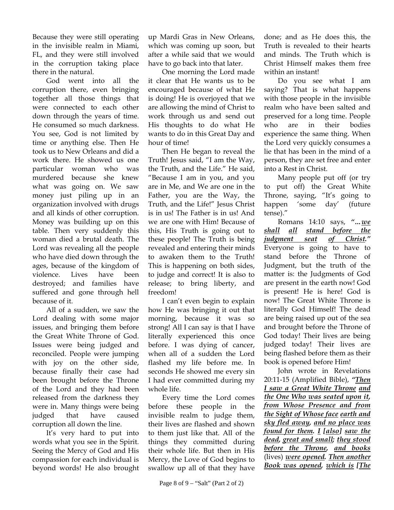Because they were still operating in the invisible realm in Miami, FL, and they were still involved in the corruption taking place there in the natural.

God went into all the corruption there, even bringing together all those things that were connected to each other down through the years of time. He consumed so much darkness. You see, God is not limited by time or anything else. Then He took us to New Orleans and did a work there. He showed us one particular woman who was murdered because she knew what was going on. We saw money just piling up in an organization involved with drugs and all kinds of other corruption. Money was building up on this table. Then very suddenly this woman died a brutal death. The Lord was revealing all the people who have died down through the ages, because of the kingdom of violence. Lives have been destroyed; and families have suffered and gone through hell because of it.

All of a sudden, we saw the Lord dealing with some major issues, and bringing them before the Great White Throne of God. Issues were being judged and reconciled. People were jumping with joy on the other side, because finally their case had been brought before the Throne of the Lord and they had been released from the darkness they were in. Many things were being judged that have caused corruption all down the line.

It's very hard to put into words what you see in the Spirit. Seeing the Mercy of God and His compassion for each individual is beyond words! He also brought up Mardi Gras in New Orleans, which was coming up soon, but after a while said that we would have to go back into that later.

One morning the Lord made it clear that He wants us to be encouraged because of what He is doing! He is overjoyed that we are allowing the mind of Christ to work through us and send out His thoughts to do what He wants to do in this Great Day and hour of time!

Then He began to reveal the Truth! Jesus said, "I am the Way, the Truth, and the Life." He said, "Because I am in you, and you are in Me, and We are one in the Father, you are the Way, the Truth, and the Life!" Jesus Christ is in us! The Father is in us! And we are one with Him! Because of this, His Truth is going out to these people! The Truth is being revealed and entering their minds to awaken them to the Truth! This is happening on both sides, to judge and correct! It is also to release; to bring liberty, and freedom!

I can't even begin to explain how He was bringing it out that morning, because it was so strong! All I can say is that I have literally experienced this once before. I was dying of cancer, when all of a sudden the Lord flashed my life before me. In seconds He showed me every sin I had ever committed during my whole life.

Every time the Lord comes before these people in the invisible realm to judge them, their lives are flashed and shown to them just like that. All of the things they committed during their whole life. But then in His Mercy, the Love of God begins to swallow up all of that they have

done; and as He does this, the Truth is revealed to their hearts and minds. The Truth which is Christ Himself makes them free within an instant!

Do you see what I am saying? That is what happens with those people in the invisible realm who have been salted and preserved for a long time. People who are in their bodies experience the same thing. When the Lord very quickly consumes a lie that has been in the mind of a person, they are set free and enter into a Rest in Christ.

Many people put off (or try to put off) the Great White Throne, saying, "It's going to happen 'some day' (future tense)."

Romans 14:10 says, *"…we shall all stand before the judgment seat of Christ."* Everyone is going to have to stand before the Throne of Judgment, but the truth of the matter is: the Judgments of God are present in the earth now! God is present! He is here! God is now! The Great White Throne is literally God Himself! The dead are being raised up out of the sea and brought before the Throne of God today! Their lives are being judged today! Their lives are being flashed before them as their book is opened before Him!

John wrote in Revelations 20:11-15 (Amplified Bible), *"Then I saw a Great White Throne and the One Who was seated upon it, from Whose Presence and from the Sight of Whose face earth and sky fled away, and no place was found for them. I [also] saw the dead, great and small; they stood before the Throne, and books* (lives) *were opened. Then another Book was opened, which is [The*